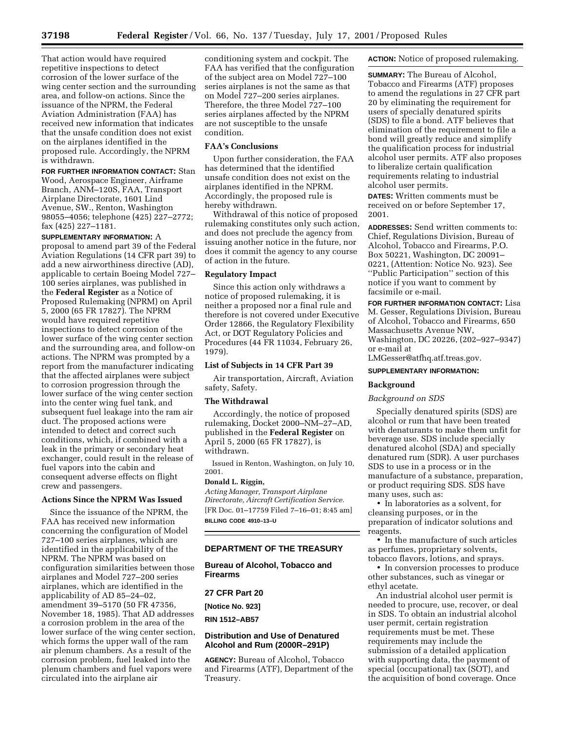That action would have required repetitive inspections to detect corrosion of the lower surface of the wing center section and the surrounding area, and follow-on actions. Since the issuance of the NPRM, the Federal Aviation Administration (FAA) has received new information that indicates that the unsafe condition does not exist on the airplanes identified in the proposed rule. Accordingly, the NPRM is withdrawn.

**FOR FURTHER INFORMATION CONTACT:** Stan Wood, Aerospace Engineer, Airframe Branch, ANM–120S, FAA, Transport Airplane Directorate, 1601 Lind Avenue, SW., Renton, Washington 98055–4056; telephone (425) 227–2772; fax (425) 227–1181.

**SUPPLEMENTARY INFORMATION:** A proposal to amend part 39 of the Federal Aviation Regulations (14 CFR part 39) to add a new airworthiness directive (AD), applicable to certain Boeing Model 727– 100 series airplanes, was published in the **Federal Register** as a Notice of Proposed Rulemaking (NPRM) on April 5, 2000 (65 FR 17827). The NPRM would have required repetitive inspections to detect corrosion of the lower surface of the wing center section and the surrounding area, and follow-on actions. The NPRM was prompted by a report from the manufacturer indicating that the affected airplanes were subject to corrosion progression through the lower surface of the wing center section into the center wing fuel tank, and subsequent fuel leakage into the ram air duct. The proposed actions were intended to detect and correct such conditions, which, if combined with a leak in the primary or secondary heat exchanger, could result in the release of fuel vapors into the cabin and consequent adverse effects on flight crew and passengers.

# **Actions Since the NPRM Was Issued**

Since the issuance of the NPRM, the FAA has received new information concerning the configuration of Model 727–100 series airplanes, which are identified in the applicability of the NPRM. The NPRM was based on configuration similarities between those airplanes and Model 727–200 series airplanes, which are identified in the applicability of AD 85–24–02, amendment 39–5170 (50 FR 47356, November 18, 1985). That AD addresses a corrosion problem in the area of the lower surface of the wing center section, which forms the upper wall of the ram air plenum chambers. As a result of the corrosion problem, fuel leaked into the plenum chambers and fuel vapors were circulated into the airplane air

conditioning system and cockpit. The FAA has verified that the configuration of the subject area on Model 727–100 series airplanes is not the same as that on Model 727–200 series airplanes. Therefore, the three Model 727–100 series airplanes affected by the NPRM are not susceptible to the unsafe condition.

## **FAA's Conclusions**

Upon further consideration, the FAA has determined that the identified unsafe condition does not exist on the airplanes identified in the NPRM. Accordingly, the proposed rule is hereby withdrawn.

Withdrawal of this notice of proposed rulemaking constitutes only such action, and does not preclude the agency from issuing another notice in the future, nor does it commit the agency to any course of action in the future.

## **Regulatory Impact**

Since this action only withdraws a notice of proposed rulemaking, it is neither a proposed nor a final rule and therefore is not covered under Executive Order 12866, the Regulatory Flexibility Act, or DOT Regulatory Policies and Procedures (44 FR 11034, February 26, 1979).

## **List of Subjects in 14 CFR Part 39**

Air transportation, Aircraft, Aviation safety, Safety.

### **The Withdrawal**

Accordingly, the notice of proposed rulemaking, Docket 2000–NM–27–AD, published in the **Federal Register** on April 5, 2000 (65 FR 17827), is withdrawn.

Issued in Renton, Washington, on July 10, 2001.

#### **Donald L. Riggin,**

*Acting Manager, Transport Airplane Directorate, Aircraft Certification Service.* [FR Doc. 01–17759 Filed 7–16–01; 8:45 am] **BILLING CODE 4910–13–U**

## **DEPARTMENT OF THE TREASURY**

**Bureau of Alcohol, Tobacco and Firearms**

# **27 CFR Part 20**

**[Notice No. 923]**

**RIN 1512–AB57**

## **Distribution and Use of Denatured Alcohol and Rum (2000R–291P)**

**AGENCY:** Bureau of Alcohol, Tobacco and Firearms (ATF), Department of the Treasury.

**ACTION:** Notice of proposed rulemaking.

**SUMMARY:** The Bureau of Alcohol, Tobacco and Firearms (ATF) proposes to amend the regulations in 27 CFR part 20 by eliminating the requirement for users of specially denatured spirits (SDS) to file a bond. ATF believes that elimination of the requirement to file a bond will greatly reduce and simplify the qualification process for industrial alcohol user permits. ATF also proposes to liberalize certain qualification requirements relating to industrial alcohol user permits.

**DATES:** Written comments must be received on or before September 17, 2001.

**ADDRESSES:** Send written comments to: Chief, Regulations Division, Bureau of Alcohol, Tobacco and Firearms, P.O. Box 50221, Washington, DC 20091– 0221, (Attention: Notice No. 923). See ''Public Participation'' section of this notice if you want to comment by facsimile or e-mail.

**FOR FURTHER INFORMATION CONTACT:** Lisa M. Gesser, Regulations Division, Bureau of Alcohol, Tobacco and Firearms, 650 Massachusetts Avenue NW, Washington, DC 20226, (202–927–9347) or e-mail at

LMGesser@atfhq.atf.treas.gov.

# **SUPPLEMENTARY INFORMATION:**

#### **Background**

## *Background on SDS*

Specially denatured spirits (SDS) are alcohol or rum that have been treated with denaturants to make them unfit for beverage use. SDS include specially denatured alcohol (SDA) and specially denatured rum (SDR). A user purchases SDS to use in a process or in the manufacture of a substance, preparation, or product requiring SDS. SDS have many uses, such as:

• In laboratories as a solvent, for cleansing purposes, or in the preparation of indicator solutions and reagents.

• In the manufacture of such articles as perfumes, proprietary solvents, tobacco flavors, lotions, and sprays.

• In conversion processes to produce other substances, such as vinegar or ethyl acetate.

An industrial alcohol user permit is needed to procure, use, recover, or deal in SDS. To obtain an industrial alcohol user permit, certain registration requirements must be met. These requirements may include the submission of a detailed application with supporting data, the payment of special (occupational) tax (SOT), and the acquisition of bond coverage. Once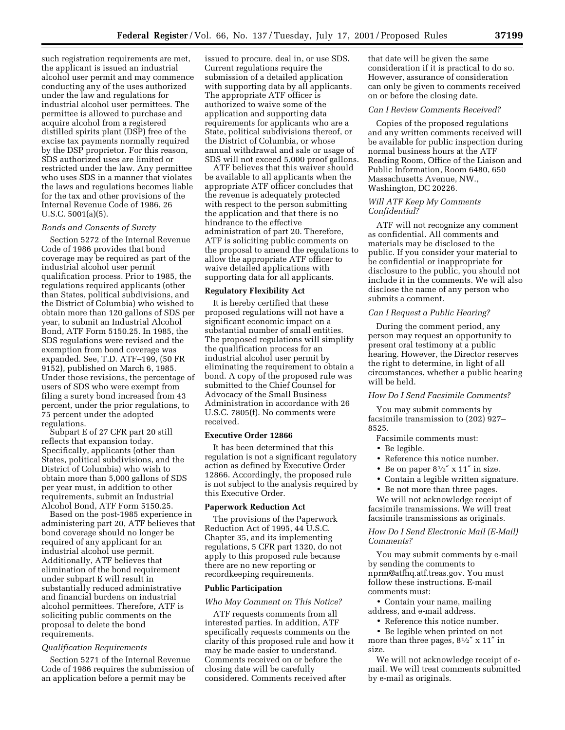such registration requirements are met, the applicant is issued an industrial alcohol user permit and may commence conducting any of the uses authorized under the law and regulations for industrial alcohol user permittees. The permittee is allowed to purchase and acquire alcohol from a registered distilled spirits plant (DSP) free of the excise tax payments normally required by the DSP proprietor. For this reason, SDS authorized uses are limited or restricted under the law. Any permittee who uses SDS in a manner that violates the laws and regulations becomes liable for the tax and other provisions of the Internal Revenue Code of 1986, 26 U.S.C. 5001(a)(5).

#### *Bonds and Consents of Surety*

Section 5272 of the Internal Revenue Code of 1986 provides that bond coverage may be required as part of the industrial alcohol user permit qualification process. Prior to 1985, the regulations required applicants (other than States, political subdivisions, and the District of Columbia) who wished to obtain more than 120 gallons of SDS per year, to submit an Industrial Alcohol Bond, ATF Form 5150.25. In 1985, the SDS regulations were revised and the exemption from bond coverage was expanded. See, T.D. ATF–199, (50 FR 9152), published on March 6, 1985. Under those revisions, the percentage of users of SDS who were exempt from filing a surety bond increased from 43 percent, under the prior regulations, to 75 percent under the adopted regulations.

Subpart E of 27 CFR part 20 still reflects that expansion today. Specifically, applicants (other than States, political subdivisions, and the District of Columbia) who wish to obtain more than 5,000 gallons of SDS per year must, in addition to other requirements, submit an Industrial Alcohol Bond, ATF Form 5150.25.

Based on the post-1985 experience in administering part 20, ATF believes that bond coverage should no longer be required of any applicant for an industrial alcohol use permit. Additionally, ATF believes that elimination of the bond requirement under subpart E will result in substantially reduced administrative and financial burdens on industrial alcohol permittees. Therefore, ATF is soliciting public comments on the proposal to delete the bond requirements.

## *Qualification Requirements*

Section 5271 of the Internal Revenue Code of 1986 requires the submission of an application before a permit may be

issued to procure, deal in, or use SDS. Current regulations require the submission of a detailed application with supporting data by all applicants. The appropriate ATF officer is authorized to waive some of the application and supporting data requirements for applicants who are a State, political subdivisions thereof, or the District of Columbia, or whose annual withdrawal and sale or usage of SDS will not exceed 5,000 proof gallons.

ATF believes that this waiver should be available to all applicants when the appropriate ATF officer concludes that the revenue is adequately protected with respect to the person submitting the application and that there is no hindrance to the effective administration of part 20. Therefore, ATF is soliciting public comments on the proposal to amend the regulations to allow the appropriate ATF officer to waive detailed applications with supporting data for all applicants.

#### **Regulatory Flexibility Act**

It is hereby certified that these proposed regulations will not have a significant economic impact on a substantial number of small entities. The proposed regulations will simplify the qualification process for an industrial alcohol user permit by eliminating the requirement to obtain a bond. A copy of the proposed rule was submitted to the Chief Counsel for Advocacy of the Small Business Administration in accordance with 26 U.S.C. 7805(f). No comments were received.

## **Executive Order 12866**

It has been determined that this regulation is not a significant regulatory action as defined by Executive Order 12866. Accordingly, the proposed rule is not subject to the analysis required by this Executive Order.

#### **Paperwork Reduction Act**

The provisions of the Paperwork Reduction Act of 1995, 44 U.S.C. Chapter 35, and its implementing regulations, 5 CFR part 1320, do not apply to this proposed rule because there are no new reporting or recordkeeping requirements.

## **Public Participation**

#### *Who May Comment on This Notice?*

ATF requests comments from all interested parties. In addition, ATF specifically requests comments on the clarity of this proposed rule and how it may be made easier to understand. Comments received on or before the closing date will be carefully considered. Comments received after

that date will be given the same consideration if it is practical to do so. However, assurance of consideration can only be given to comments received on or before the closing date.

### *Can I Review Comments Received?*

Copies of the proposed regulations and any written comments received will be available for public inspection during normal business hours at the ATF Reading Room, Office of the Liaison and Public Information, Room 6480, 650 Massachusetts Avenue, NW., Washington, DC 20226.

## *Will ATF Keep My Comments Confidential?*

ATF will not recognize any comment as confidential. All comments and materials may be disclosed to the public. If you consider your material to be confidential or inappropriate for disclosure to the public, you should not include it in the comments. We will also disclose the name of any person who submits a comment.

## *Can I Request a Public Hearing?*

During the comment period, any person may request an opportunity to present oral testimony at a public hearing. However, the Director reserves the right to determine, in light of all circumstances, whether a public hearing will be held.

## *How Do I Send Facsimile Comments?*

You may submit comments by facsimile transmission to (202) 927– 8525.

#### Facsimile comments must:

- Be legible.
- Reference this notice number.
- Be on paper  $8\frac{1}{2}$ " x 11" in size.
- Contain a legible written signature.
- Be not more than three pages.

We will not acknowledge receipt of facsimile transmissions. We will treat facsimile transmissions as originals.

## *How Do I Send Electronic Mail (E-Mail) Comments?*

You may submit comments by e-mail by sending the comments to nprm@atfhq.atf.treas.gov. You must follow these instructions. E-mail comments must:

• Contain your name, mailing address, and e-mail address.

• Reference this notice number.

• Be legible when printed on not

more than three pages,  $8\frac{1}{2}$ " x  $11$ " in size.

We will not acknowledge receipt of email. We will treat comments submitted by e-mail as originals.